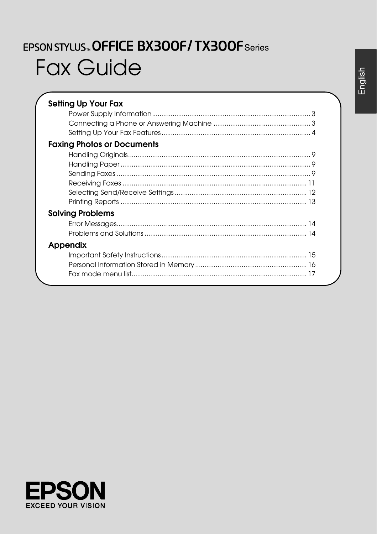# EPSON STYLUS. OFFICE BX300F/TX300F Series **Fax Guide**

| <b>Setting Up Your Fax</b>        |
|-----------------------------------|
|                                   |
|                                   |
|                                   |
| <b>Faxing Photos or Documents</b> |
|                                   |
|                                   |
|                                   |
|                                   |
|                                   |
|                                   |
| <b>Solving Problems</b>           |
|                                   |
|                                   |
| Appendix                          |
|                                   |
|                                   |
|                                   |

English

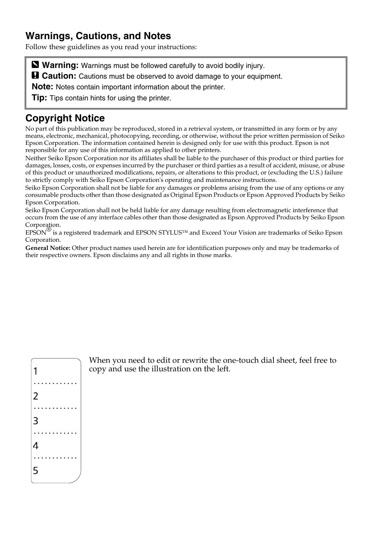#### **Warnings, Cautions, and Notes**

Follow these guidelines as you read your instructions:

**Warning:** Warnings must be followed carefully to avoid bodily injury.

**a** Caution: Cautions must be observed to avoid damage to your equipment.

**Note:** Notes contain important information about the printer.

**Tip:** Tips contain hints for using the printer.

## **Copyright Notice**

No part of this publication may be reproduced, stored in a retrieval system, or transmitted in any form or by any means, electronic, mechanical, photocopying, recording, or otherwise, without the prior written permission of Seiko Epson Corporation. The information contained herein is designed only for use with this product. Epson is not responsible for any use of this information as applied to other printers.

Neither Seiko Epson Corporation nor its affiliates shall be liable to the purchaser of this product or third parties for damages, losses, costs, or expenses incurred by the purchaser or third parties as a result of accident, misuse, or abuse of this product or unauthorized modifications, repairs, or alterations to this product, or (excluding the U.S.) failure to strictly comply with Seiko Epson Corporation's operating and maintenance instructions.

Seiko Epson Corporation shall not be liable for any damages or problems arising from the use of any options or any consumable products other than those designated as Original Epson Products or Epson Approved Products by Seiko Epson Corporation.

Seiko Epson Corporation shall not be held liable for any damage resulting from electromagnetic interference that occurs from the use of any interface cables other than those designated as Epson Approved Products by Seiko Epson Corporation.

EPSON® is a registered trademark and EPSON STYLUS™ and Exceed Your Vision are trademarks of Seiko Epson Corporation.

**General Notice:** Other product names used herein are for identification purposes only and may be trademarks of their respective owners. Epson disclaims any and all rights in those marks.



When you need to edit or rewrite the one-touch dial sheet, feel free to copy and use the illustration on the left.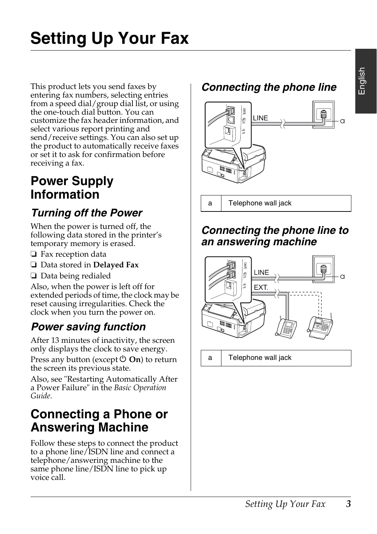English

# **Setting Up Your Fax**

This product lets you send faxes by entering fax numbers, selecting entries from a speed dial/group dial list, or using the one-touch dial button. You can customize the fax header information, and select various report printing and send/receive settings. You can also set up the product to automatically receive faxes or set it to ask for confirmation before receiving a fax.

## **Power Supply Information**

## *Turning off the Power*

When the power is turned off, the following data stored in the printer's temporary memory is erased.

- ❏ Fax reception data
- ❏ Data stored in **Delayed Fax**
- ❏ Data being redialed

Also, when the power is left off for extended periods of time, the clock may be reset causing irregularities. Check the clock when you turn the power on.

## *Power saving function*

After 13 minutes of inactivity, the screen only displays the clock to save energy.

Press any button (except  $\circlearrowleft$  **On**) to return the screen its previous state.

Also, see "Restarting Automatically After a Power Failure" in the *Basic Operation Guide*.

## **Connecting a Phone or Answering Machine**

Follow these steps to connect the product to a phone line/ISDN line and connect a telephone/answering machine to the same phone line/ISDN line to pick up voice call.

## *Connecting the phone line*



a Telephone wall jack

## *Connecting the phone line to an answering machine*



a Telephone wall jack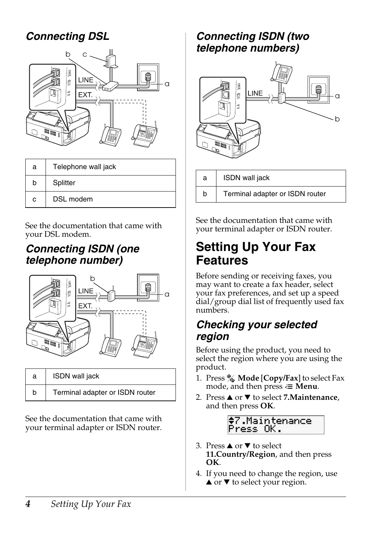## *Connecting DSL*



| а | Telephone wall jack |  |
|---|---------------------|--|
| b | Splitter            |  |
| c | DSL modem           |  |

See the documentation that came with your DSL modem.

## *Connecting ISDN (one telephone number)*



| a | <b>ISDN</b> wall jack           |  |
|---|---------------------------------|--|
| b | Terminal adapter or ISDN router |  |

See the documentation that came with your terminal adapter or ISDN router.

## *Connecting ISDN (two telephone numbers)*



b Terminal adapter or ISDN router

See the documentation that came with your terminal adapter or ISDN router.

## **Setting Up Your Fax Features**

Before sending or receiving faxes, you may want to create a fax header, select your fax preferences, and set up a speed dial/group dial list of frequently used fax numbers.

## *Checking your selected region*

Before using the product, you need to select the region where you are using the product.

- 1. Press **Mode** [**Copy/Fax**] to select Fax mode, and then press  $\equiv$  **Menu**.
- 2. Press  $\triangle$  or  $\nabla$  to select **7.Maintenance**, and then press **OK**.



- 3. Press  $\triangle$  or  $\nabla$  to select **11.Country/Region**, and then press **OK**.
- 4. If you need to change the region, use  $\blacktriangle$  or  $\nabla$  to select your region.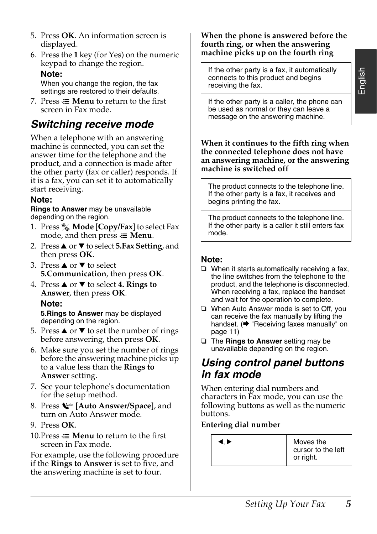- 5. Press **OK**. An information screen is displayed.
- 6. Press the **1** key (for Yes) on the numeric keypad to change the region. **Note:**

When you change the region, the fax settings are restored to their defaults.

7. Press  $\equiv$  **Menu** to return to the first screen in Fax mode.

## *Switching receive mode*

When a telephone with an answering machine is connected, you can set the answer time for the telephone and the product, and a connection is made after the other party (fax or caller) responds. If it is a fax, you can set it to automatically start receiving.

#### **Note:**

**Rings to Answer** may be unavailable depending on the region.

- 1. Press **Mode** [**Copy/Fax**] to select Fax mode, and then press  $\equiv$  **Menu**.
- 2. Press **▲** or ▼ to select **5.Fax Setting**, and then press **OK**.
- 3. Press  $\triangle$  or  $\nabla$  to select **5.Communication**, then press **OK**.
- 4. Press  $\triangle$  or  $\nabla$  to select 4. Rings to **Answer**, then press **OK**. **Note: 5.Rings to Answer** may be displayed depending on the region.
- 5. Press  $\triangle$  or  $\nabla$  to set the number of rings before answering, then press **OK**.
- 6. Make sure you set the number of rings before the answering machine picks up to a value less than the **Rings to Answer** setting.
- 7. See your telephone's documentation for the setup method.
- 8. Press [**Auto Answer/Space**], and turn on Auto Answer mode.
- 9. Press **OK**.
- 10. Press  $\chi$  **Menu** to return to the first screen in Fax mode.

For example, use the following procedure if the **Rings to Answer** is set to five, and the answering machine is set to four.

#### **When the phone is answered before the fourth ring, or when the answering machine picks up on the fourth ring**

If the other party is a fax, it automatically connects to this product and begins receiving the fax.

English

If the other party is a caller, the phone can be used as normal or they can leave a message on the answering machine.

**When it continues to the fifth ring when the connected telephone does not have an answering machine, or the answering machine is switched off**

The product connects to the telephone line. If the other party is a fax, it receives and begins printing the fax.

[The produ](#page-10-1)ct [connects to the telephone line.](#page-10-1)  If the other party is a caller it still enters fax mode.

#### <span id="page-4-0"></span>**Note:**

- ❏ When it starts automatically receiving a fax, the line switches from the telephone to the product, and the telephone is disconnected. When receiving a fax, replace the handset and wait for the operation to complete.
- ❏ When Auto Answer mode is set to Off, you can receive the fax manually by lifting the handset.  $(\rightarrow$  "Receiving faxes manually" on page 11)
- ❏ The **Rings to Answer** setting may be unavailable depending on the region.

## *Using control panel buttons in fax mode*

When entering dial numbers and characters in Fax mode, you can use the following buttons as well as the numeric buttons.

#### **Entering dial number**

| 1. Þ | Moves the<br>cursor to the left<br>or right. |
|------|----------------------------------------------|
|------|----------------------------------------------|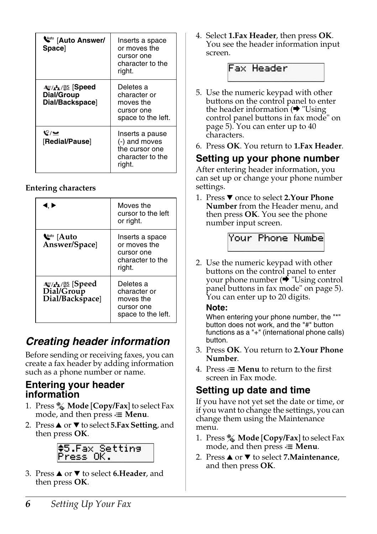| <b>W</b> ato Answer/<br><b>Space</b>     | Inserts a space<br>or moves the<br>cursor one<br>character to the<br>right.      |
|------------------------------------------|----------------------------------------------------------------------------------|
| ા Speed<br>Dial/Group<br>Dial/Backspace] | Deletes a<br>character or<br>moves the<br>cursor one<br>space to the left.       |
| ೪/≌<br>[Redial/Pause]                    | Inserts a pause<br>(-) and moves<br>the cursor one<br>character to the<br>riaht. |

#### **Entering characters**

| I. Þ                                                    | Moves the<br>cursor to the left<br>or right.                                |
|---------------------------------------------------------|-----------------------------------------------------------------------------|
| <b>Watto</b> [Auto<br>Answer/Space]                     | Inserts a space<br>or moves the<br>cursor one<br>character to the<br>right. |
| <b>াত্র'</b> ডি [Speed<br>Dial/Group<br>Dial/Backspace] | Deletes a<br>character or<br>moves the<br>cursor one<br>space to the left.  |

## *Creating header information*

Before sending or receiving faxes, you can create a fax header by adding information such as a phone number or name.

#### **Entering your header information**

- 1. Press  $\%$  **Mode** [Copy/Fax] to select Fax mode, and then press  $\equiv$  **Menu**.
- 2. Press **▲** or ▼ to select **5.Fax Setting**, and then press **OK**.



3. Press **▲** or ▼ to select **6.Header**, and then press **OK**.

4. Select **1.Fax Header**, then press **OK**. You see the header information input screen.



- 5. Use the numeric keypad with other buttons on the control panel to enter the header information  $\phi$  "Using" control panel buttons in fax mode" on page 5). You can enter up to 40 characters.
- 6. Press **OK**. You return to **1.Fax Header**.

## **Setting up your phone number**

After entering header info[rmation, you](#page-4-0)  [can set up or change your phone numbe](#page-4-0)r settings.

1. Press ▼ once to select 2.Your Phone **Number** from the Header menu, and then press **OK**. You see the phone number input screen.

Your Phone Numbe

2. Use the numeric keypad with other buttons on the control panel to enter<br>your phone number (➡ "Using control panel buttons in fax mode" on page 5). You can enter up to 20 digits.

#### **Note:**

When entering your phone number, the "\*" button does not work, and the "#" button functions as a "+" (international phone calls) button.

- 3. Press **OK**. You return to **2.Your Phone Number**.
- 4. Press  $\equiv$  **Menu** to return to the first screen in Fax mode.

#### **Setting up date and time**

If you have not yet set the date or time, or if you want to change the settings, you can change them using the Maintenance menu.

- 1. Press **Mode** [**Copy/Fax**] to select Fax mode, and then press  $\equiv$  **Menu**.
- 2. Press **▲** or ▼ to select **7.Maintenance**, and then press **OK**.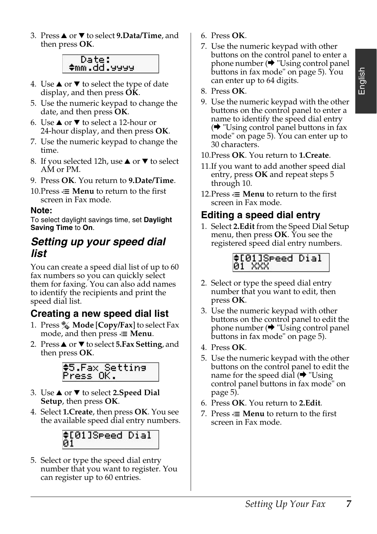3. Press **▲** or ▼ to select 9.Data/Time, and then press **OK**.

#### Date: ≑mm.dd.yyyy

- 4. Use  $\triangle$  or  $\nabla$  to select the type of date display, and then press **OK**.
- 5. Use the numeric keypad to change the date, and then press **OK**.
- 6. Use  $\triangle$  or  $\nabla$  to select a 12-hour or 24-hour display, and then press **OK**.
- 7. Use the numeric keypad to change the time.
- 8. If you selected 12h, use  $\blacktriangle$  or  $\nabla$  to select AM or PM.
- 9. Press **OK**. You return to **9.Date/Time**.
- 10. Press  $\equiv$  **Menu** to return to the first screen in Fax mode.

#### **Note:**

To select daylight savings time, set **Daylight Saving Time** to **On**.

#### *Setting up your speed dial list*

You can create a speed dial list of up to 60 fax numbers so you can quickly select them for faxing. You can also add names to identify the recipients and print the speed dial list.

#### **Creating a new speed dial list**

- 1. Press **Mode** [**Copy/Fax**] to select Fax mode, and then press  $\equiv$  **Menu**.
- 2. Press **▲** or ▼ to select **5.Fax Setting**, and then press **OK**.



- 3. Use **▲** or ▼ to select 2.Speed Dial **Setup**, then press **OK**.
- 4. Select **1.Create**, then press **OK**. You see the available speed dial entry numbers.



5. Select or type the speed dial entry number that you want to register. You can register up to 60 entries.

- 6. Press **OK**.
- 7. Use the numeric keypad with other buttons on the control panel to enter a phone number  $(\rightarrow$  "Using control panel buttons in fax mode" on page 5). You can enter up to 64 digits.
- 8. Press **OK**.
- 9. Use the numeric keypad with the other buttons on the control panel to enter a name to identify the speed dial entry  $\leftrightarrow$  "Using control panel buttons in fax mode" on page 5). You can enter up to 30 characters.
- 10.Press **OK**. You return to **1.Create**.
- 11.If you want to add another speed dial entry, press **OK** and repeat steps 5 through 10.
- 12. Press  $\equiv$  **Menu** to return to the first screen in Fax mode.

#### **Editing a speed [dial entry](#page-4-0)**

1. Select **2.Edit** [from the Speed Dia](#page-4-0)l Setup menu, then press **OK**. You see the registered speed dial entry numbers.



- [2. Select o](#page-4-0)r type the speed dial entry number that you want to edit, then press **OK**.
- 3. Use the numeric keypad with other buttons on the control panel to edit the phone number  $(\bigstar$  "Using control panel buttons in fax mode" on page 5).
- 4. Press **OK**.
- 5. Use the numeric keypad with the other buttons on the control panel to edit the name for the speed dial  $(\blacklozenge$  "Using" control panel buttons in fax mode" on page 5).
- 6. Press **OK**. You return to **2.Edit**.
- 7. Press  $\equiv$  **Menu** to return to the first screen in Fax mode.

English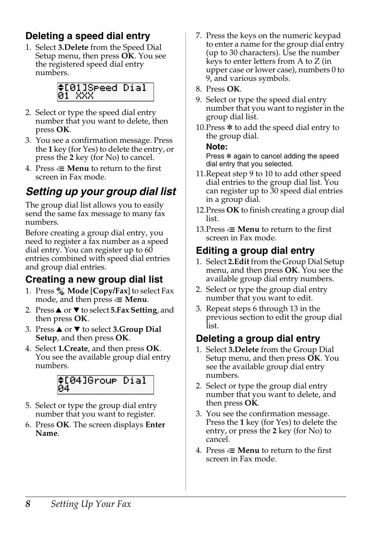## **Deleting a speed dial entry**

1. Select **3.Delete** from the Speed Dial Setup menu, then press **OK**. You see the registered speed dial entry numbers.



- 2. Select or type the speed dial entry number that you want to delete, then press **OK**.
- 3. You see a confirmation message. Press the **1** key (for Yes) to delete the entry, or press the **2** key (for No) to cancel.
- 4. Press  $\equiv$  **Menu** to return to the first screen in Fax mode.

## *Setting up your group dial list*

The group dial list allows you to easily send the same fax message to many fax numbers.

Before creating a group dial entry, you need to register a fax number as a speed dial entry. You can register up to  $60$ entries combined with speed dial entries and group dial entries.

## **Creating a new group dial list**

- 1. Press **Mode** [**Copy/Fax**] to select Fax mode, and then press  $\equiv$  **Menu**.
- 2. Press **▲** or ▼ to select **5.Fax Setting**, and then press **OK**.
- **3. Press ▲ or ▼ to select <b>3.Group Dial Setup**, and then press **OK**.
- 4. Select **1.Create**, and then press **OK**. You see the available group dial entry numbers.



- 5. Select or type the group dial entry number that you want to register.
- 6. Press **OK**. The screen displays **Enter Name**.
- 7. Press the keys on the numeric keypad to enter a name for the group dial entry (up to 30 characters). Use the number keys to enter letters from A to Z (in upper case or lower case), numbers 0 to 9, and various symbols.
- 8. Press **OK**.
- 9. Select or type the speed dial entry number that you want to register in the group dial list.
- 10. Press  $*$  to add the speed dial entry to the group dial.

#### **Note:**

Press  $*$  again to cancel adding the speed dial entry that you selected.

- 11.Repeat step 9 to 10 to add other speed dial entries to the group dial list. You can register up to 30 speed dial entries in a group dial.
- 12.Press **OK** to finish creating a group dial list.
- 13. Press  $\equiv$  **Menu** to return to the first screen in Fax mode.

## **Editing a group dial entry**

- 1. Select **2.Edit** from the Group Dial Setup menu, and then press **OK**. You see the available group dial entry numbers.
- 2. Select or type the group dial entry number that you want to edit.
- 3. Repeat steps 6 through 13 in the previous section to edit the group dial list.

## **Deleting a group dial entry**

- 1. Select **3.Delete** from the Group Dial Setup menu, and then press **OK**. You see the available group dial entry numbers.
- 2. Select or type the group dial entry number that you want to delete, and then press **OK**.
- 3. You see the confirmation message. Press the **1** key (for Yes) to delete the entry, or press the **2** key (for No) to cancel.
- 4. Press  $\equiv$  **Menu** to return to the first screen in Fax mode.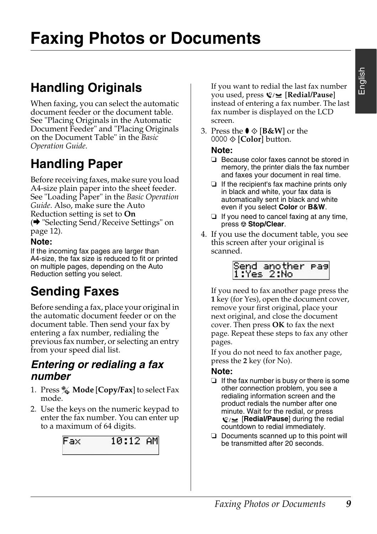## **Faxing Photos or Documents**

## **Handling Originals**

When faxing, you can select the automatic do[cument feeder or the document table.](#page-11-0)  [See "Pla](#page-11-0)cing Originals in the Automatic Document Feeder" and "Placing Originals on the Document Table" in the *Basic Operation Guide*.

## **Handling Paper**

<span id="page-8-0"></span>Before receiving faxes, make sure you load A4-size plain paper into the sheet feeder. See "Loading Paper" in the *Basic Operation Guide*. Also, make sure the Auto Reduction setting is set to **On** (→ "Selecting Send/Receive Settings" on page 12).

#### **Note:**

<span id="page-8-1"></span>If the incoming fax pages are larger than A4-size, the fax size is reduced to fit or printed on multiple pages, depending on the Auto Reduction setting you select.

## **Sending Faxes**

Before sending a fax, place your original in the automatic document feeder or on the document table. Then send your fax by entering a fax number, redialing the previous fax number, or selecting an entry from your speed dial list.

#### *Entering or redialing a fax number*

- 1. Press **Mode** [**Copy/Fax**] to select Fax mode.
- 2. Use the keys on the numeric keypad to enter the fax number. You can enter up to a maximum of 64 digits.



If you want to redial the last fax number you used, press [**Redial/Pause**] instead of entering a fax number. The last fax number is displayed on the LCD screen.

3. Press the  $\bullet \otimes [B\&W]$  or the 0000  $\otimes$  [**Color**] button.

#### **Note:**

- ❏ Because color faxes cannot be stored in memory, the printer dials the fax number and faxes your document in real time.
- ❏ If the recipient's fax machine prints only in black and white, your fax data is automatically sent in black and white even if you select **Color** or **B&W**.
- ❏ If you need to cancel faxing at any time, press  $\otimes$  **Stop/Clear.**
- 4. If you use the document table, you see this screen after your original is scanned.

| Send another pas<br>1:Yes 2:No |  |
|--------------------------------|--|
|                                |  |

If you need to fax another page press the **1** key (for Yes), open the document cover, remove your first original, place your next original, and close the document cover. Then press **OK** to fax the next page. Repeat these steps to fax any other pages.

If you do not need to fax another page, press the **2** key (for No).

#### **Note:**

- ❏ If the fax number is busy or there is some other connection problem, you see a redialing information screen and the product redials the number after one minute. Wait for the redial, or press **V**/⊌ [**Redial/Pause**] during the redial countdown to redial immediately.
- ❏ Documents scanned up to this point will be transmitted after 20 seconds.

# English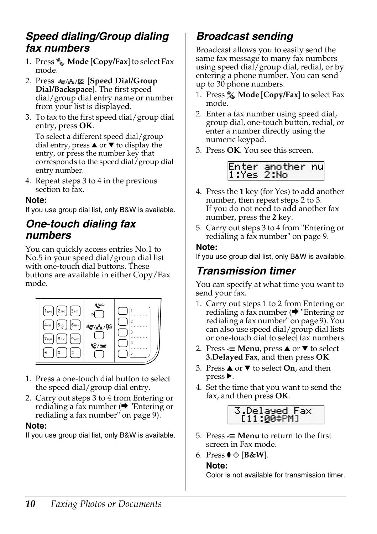#### *Speed dialing/Group dialing fax numbers*

- 1. Press **Mode** [**Copy/Fax**] to select Fax mode.
- 2. Press  $\overline{\mathcal{F}}/\mathbf{A}$   $\mathcal{B}$  [Speed Dial/Group **Dial/Backspace**]. The first speed dial/group dial entry name or number from your list is displayed.
- 3. To fax to the first speed dial/group dial entry, press **OK**.

To select a different speed dial/group dial entry, press  $\triangle$  or  $\blacktriangledown$  to display the entry, or press the number key that corresponds to the speed dial/group dial entry number.

4. Repeat steps 3 to 4 in the previous section to fax.

#### **Note:**

If you use group dial list, only B&W is available.

#### *One-touch dialing fax numbers*

You can quickly access entries No.1 to No.5 in your speed dial/group dial list with one-touch dial buttons. These buttons are available in either Copy/Fax mode.



- 1. Press a one-touch dial button to select the speed dial/group dial entry.
- 2. Carry out steps 3 to 4 from Entering or redialing a fax number  $(\rightarrow$  "Entering or redialing a fax number" on page 9).

#### **Note:**

If you use group dial list, only B&W is available.

## *Broadcast sending*

Broadcast allows you to easily send the same fax message to many fax numbers using speed dial/group dial, redial, or by entering a phone number. You can send up to 30 phone numbers.

- 1. Press **Mode** [**Copy/Fax**] to select Fax mode.
- 2. Enter a fax number using [speed dial,](#page-8-1)  [group dial, one-touch button, redia](#page-8-1)l, or enter a number directly using the numeric keypad.
- 3. Press **OK**. You see this screen.



- 4. Press the **1** key (for Yes) to add another number, then repeat steps [2 to 3.](#page-8-1) [If you do not need to add another](#page-8-1) fax number, press the **2** key.
- 5. Carry out steps 3 to 4 from "Entering or redialing a fax number" on page 9.

#### **Note:**

If you use group dial list, only B&W is available.

#### *Transmission timer*

You can specify at what time you want to send your fax.

- 1. Carry out steps 1 to 2 from Entering or redialing a fax number  $(\blacktriangleright$  "Entering or redialing a fax number" on page 9). You can also use speed dial/group dial lists or one-touch dial to select fax numbers.
- 2. Press  $\equiv$  **Menu**, press  $\triangle$  or  $\nabla$  to select **3.Delayed Fax**, and then press **OK**.
- 3. Press  $\triangle$  or  $\nabla$  to select **On**, and then  $pres$ .
- 4. Set the time that you want to send the fax, and then press **OK**.



- 5. Press  $\equiv$  **Menu** to return to the first screen in Fax mode.
- 6. Press  $\mathbf{0} \otimes [\mathbf{B} \& \mathbf{W}]$ .

#### **Note:**

Color is not available for transmission timer.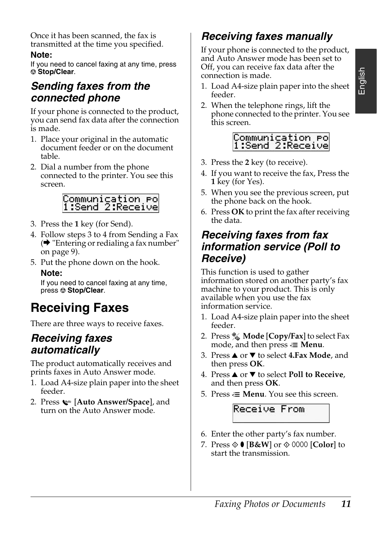Once it has been scanned, the fax is transmitted at the time you specified.

#### **Note:**

If you need to cancel faxing at any time, press y **Stop/Clear**.

## *Sending faxes from the connected phone*

If your phone is connected to the product, you can send fax data after the connection is made.

- [1. Place your original in the automatic](#page-8-1)  document feeder or on the document table.
- <span id="page-10-0"></span>2. Dial a number from the phone connected to the printer. You see this screen.

# Communication Po<br>1:Send 2:Receive

- 3. Press the **1** key (for Send).
- 4. Follow steps 3 to 4 from Sending a Fax  $(\bigstar$  "Entering or redialing a fax number" on page 9).
- 5. Put the phone down on the hook. **Note:**

If you need to cancel faxing at any time, press  $\otimes$  **Stop/Clear.** 

## **Receiving Faxes**

There are three ways to receive faxes.

## *Receiving faxes automatically*

The product automatically receives and prints faxes in Auto Answer mode.

- 1. Load A4-size plain paper into the sheet feeder.
- 2. Press [**Auto Answer/Space**], and turn on the Auto Answer mode.

## <span id="page-10-1"></span>*Receiving faxes manually*

If your phone is connected to the product, and Auto Answer mode has been set to Off, you can receive fax data after the connection is made.

- 1. Load A4-size plain paper into the sheet feeder.
- 2. When the telephone rings, lift the phone connected to the printer. You see this screen.



- 3. Press the **2** key (to receive).
- 4. If you want to receive the fax, Press the **1** key (for Yes).
- 5. When you see the previous screen, put the phone back on the hook.
- 6. Press **OK** to print the fax after receiving the data.

## *Receiving faxes from fax information service (Poll to Receive)*

This function is used to gather information stored on another party's fax machine to your product. This is only available when you use the fax information service.

- 1. Load A4-size plain paper into the sheet feeder.
- 2. Press **Mode** [**Copy/Fax**] to select Fax mode, and then press  $\equiv$  **Menu**.
- 3. Press **▲** or ▼ to select 4.Fax Mode, and then press **OK**.
- 4. Press **△** or ▼ to select **Poll to Receive**, and then press **OK**.
- 5. Press  $\equiv$  **Menu**. You see this screen.



- 6. Enter the other party's fax number.
- 7. Press  $\circ$  [**B&W**] or  $\circ$  0000 [Color] to start the transmission.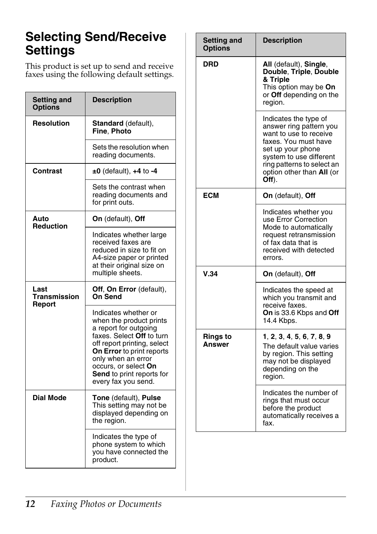## <span id="page-11-1"></span><span id="page-11-0"></span>**Selecting Send/Receive Settings**

This product is set up to send and receive faxes using the following default settings.

| Setting and<br><b>Options</b> | <b>Description</b>                                                                                                                                                                                                                                                  |
|-------------------------------|---------------------------------------------------------------------------------------------------------------------------------------------------------------------------------------------------------------------------------------------------------------------|
| Resolution                    | Standard (default),<br>Fine, Photo                                                                                                                                                                                                                                  |
|                               | Sets the resolution when<br>reading documents.                                                                                                                                                                                                                      |
| Contrast                      | $±0$ (default), $+4$ to $-4$                                                                                                                                                                                                                                        |
|                               | Sets the contrast when<br>reading documents and<br>for print outs.                                                                                                                                                                                                  |
| Auto<br><b>Reduction</b>      | On (default), Off                                                                                                                                                                                                                                                   |
|                               | Indicates whether large<br>received faxes are<br>reduced in size to fit on<br>A4-size paper or printed<br>at their original size on<br>multiple sheets.                                                                                                             |
| Last<br><b>Transmission</b>   | Off, On Error (default),<br>On Send                                                                                                                                                                                                                                 |
| Report                        | Indicates whether or<br>when the product prints<br>a report for outgoing<br>faxes. Select Off to turn<br>off report printing, select<br>On Error to print reports<br>only when an error<br>occurs, or select On<br>Send to print reports for<br>every fax you send. |
| <b>Dial Mode</b>              | Tone (default), Pulse<br>This setting may not be<br>displayed depending on<br>the region.                                                                                                                                                                           |
|                               | Indicates the type of<br>phone system to which<br>you have connected the<br>product.                                                                                                                                                                                |

| Setting and<br><b>Options</b> | <b>Description</b>                                                                                                                                                                                                     |
|-------------------------------|------------------------------------------------------------------------------------------------------------------------------------------------------------------------------------------------------------------------|
| DRD                           | All (default), Single,<br>Double, Triple, Double<br>& Triple<br>This option may be On<br>or Off depending on the<br>region.                                                                                            |
|                               | Indicates the type of<br>answer ring pattern you<br>want to use to receive<br>faxes. You must have<br>set up your phone<br>system to use different<br>ring patterns to select an<br>option other than All (or<br>Off). |
| <b>ECM</b>                    | On (default), Off                                                                                                                                                                                                      |
|                               | Indicates whether you<br>use Error Correction<br>Mode to automatically<br>request retransmission<br>of fax data that is<br>received with detected<br>errors.                                                           |
| V.34                          | On (default), Off                                                                                                                                                                                                      |
|                               | Indicates the speed at<br>which you transmit and<br>receive faxes.<br>On is 33.6 Kbps and Off<br>14.4 Kbps.                                                                                                            |
| Rings to<br>Answer            | 1, 2, 3, 4, 5, 6, 7, 8, 9<br>The default value varies<br>by region. This setting<br>may not be displayed<br>depending on the<br>region.                                                                                |
|                               | Indicates the number of<br>rings that must occur<br>before the product<br>automatically receives a<br>fax.                                                                                                             |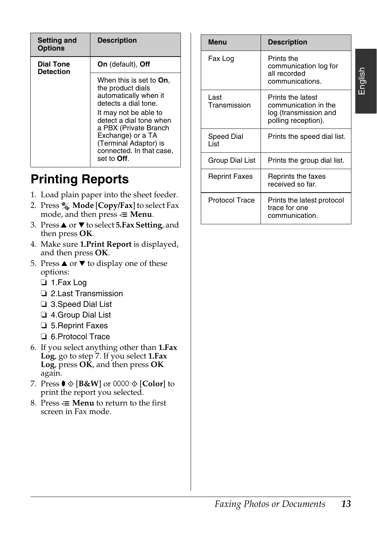| <b>Setting and</b><br><b>Options</b> | <b>Description</b>                                                                                                                                                                                                                                                          |
|--------------------------------------|-----------------------------------------------------------------------------------------------------------------------------------------------------------------------------------------------------------------------------------------------------------------------------|
| <b>Dial Tone</b><br><b>Detection</b> | <b>On</b> (default), <b>Off</b>                                                                                                                                                                                                                                             |
|                                      | When this is set to <b>On</b> .<br>the product dials<br>automatically when it<br>detects a dial tone.<br>It may not be able to<br>detect a dial tone when<br>a PBX (Private Branch<br>Exchange) or a TA<br>(Terminal Adaptor) is<br>connected. In that case,<br>set to Off. |

## **Printing Reports**

- 1. Load plain paper into the sheet feeder.
- 2. Press **Mode** [**Copy/Fax**] to select Fax mode, and then press  $\equiv$  **Menu**.
- 3. Press▲ or ▼ to select **5.Fax Setting**, and then press **OK**.
- 4. Make sure **1.Print Report** is displayed, and then press **OK**.
- 5. Press  $\triangle$  or  $\nabla$  to display one of these options:
	- ❏ 1.Fax Log
	- ❏ 2.Last Transmission
	- ❏ 3.Speed Dial List
	- ❏ 4.Group Dial List
	- ❏ 5.Reprint Faxes
	- ❏ 6.Protocol Trace
- 6. If you select anything other than **1.Fax Log**, go to step 7. If you select **1.Fax Log**, press **OK**, and then press **OK** again.
- 7. Press  $\bullet \otimes [\mathbf{B} \& \mathbf{W}]$  or 0000  $\otimes [\mathbf{Color}]$  to print the report you selected.
- 8. Press  $\equiv$  **Menu** to return to the first screen in Fax mode.

| <b>Description</b>                                                                                                                                                                                                          |                      | <b>Menu</b>                            | <b>Description</b>                                                                        |
|-----------------------------------------------------------------------------------------------------------------------------------------------------------------------------------------------------------------------------|----------------------|----------------------------------------|-------------------------------------------------------------------------------------------|
| <b>On</b> (default), <b>Off</b>                                                                                                                                                                                             |                      | Fax Log                                | Prints the<br>communication log for<br>all recorded                                       |
| When this is set to <b>On</b> ,<br>the product dials                                                                                                                                                                        |                      |                                        | communications.                                                                           |
| automatically when it<br>detects a dial tone.<br>It may not be able to<br>detect a dial tone when<br>a PBX (Private Branch<br>Exchange) or a TA<br>(Terminal Adaptor) is<br>connected. In that case,<br>set to <b>Off</b> . |                      | Last<br>Transmission                   | Prints the latest<br>communication in the<br>log (transmission and<br>polling reception). |
|                                                                                                                                                                                                                             |                      | Speed Dial<br>List                     | Prints the speed dial list.                                                               |
|                                                                                                                                                                                                                             |                      | Group Dial List                        | Prints the group dial list.                                                               |
| ports<br>r into the sheet feeder.<br><b>Copy/Fax</b> to select Fax<br>$press \equiv$ Menu.                                                                                                                                  | <b>Reprint Faxes</b> | Reprints the faxes<br>received so far. |                                                                                           |
|                                                                                                                                                                                                                             |                      | <b>Protocol Trace</b>                  | Prints the latest protocol<br>trace for one<br>communication.                             |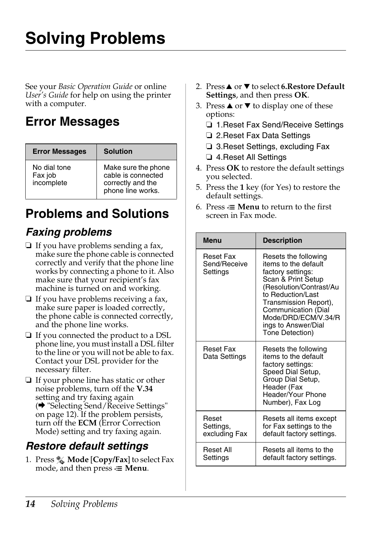# <span id="page-13-1"></span><span id="page-13-0"></span>**Solving Problems**

<span id="page-13-2"></span>See your *Basic Operation Guide* or online *User's Guide* for help on using the printer with a computer.

## **Error Messages**

| <b>Error Messages</b>                 | <b>Solution</b>                                                                     |
|---------------------------------------|-------------------------------------------------------------------------------------|
| No dial tone<br>Fax job<br>incomplete | Make sure the phone<br>cable is connected<br>correctly and the<br>phone line works. |

## **Problems and Solutions**

## *Faxing problems*

- ❏ If you have problems sending a fax, make sure the phone cable is connected correctly and verify that the phone line works by connecting a phone to it. Also make sure that your recipient's fax machine is turned on and working.
- ❏ If y[ou have problems receiving a fax,](#page-11-1)  [make sure](#page-11-1) paper is loaded correctly, the phone cable is connected correctly, and the phone line works.
- ❏ If you connected the product to a DSL phone line, you must install a DSL filter to the line or you will not be able to fax. Contact your DSL provider for the necessary filter.
- ❏ If your phone line has static or other noise problems, turn off the **V.34** setting and try faxing again (→ "Selecting Send/Receive Settings" on page 12). If the problem persists, turn off the **ECM** (Error Correction Mode) setting and try faxing again.

## *Restore default settings*

1. Press **Mode** [**Copy/Fax**] to select Fax mode, and then press  $\equiv$  **Menu**.

- 2. Press **▲** or ▼ to select **6.Restore Default Settings**, and then press **OK**.
- 3. Press  $\triangle$  or  $\nabla$  to display one of these options:
	- ❏ 1.Reset Fax Send/Receive Settings
	- ❏ 2.Reset Fax Data Settings
	- ❏ 3.Reset Settings, excluding Fax
	- ❏ 4.Reset All Settings
- 4. Press **OK** to restore the default settings you selected.
- 5. Press the **1** key (for Yes) to restore the default settings.
- 6. Press  $\equiv$  **Menu** to return to the first screen in Fax mode.

| <b>Menu</b>                                  | <b>Description</b>                                                                                                                                                                                                                                       |  |
|----------------------------------------------|----------------------------------------------------------------------------------------------------------------------------------------------------------------------------------------------------------------------------------------------------------|--|
| <b>Reset Fax</b><br>Send/Receive<br>Settings | Resets the following<br>items to the default<br>factory settings:<br>Scan & Print Setup<br>(Resolution/Contrast/Au<br>to Reduction/Last<br>Transmission Report),<br>Communication (Dial<br>Mode/DRD/ECM/V.34/R<br>ings to Answer/Dial<br>Tone Detection) |  |
| Reset Fax<br>Data Settings                   | Resets the following<br>items to the default<br>factory settings:<br>Speed Dial Setup,<br>Group Dial Setup,<br>Header (Fax<br>Header/Your Phone<br>Number), Fax Log                                                                                      |  |
| Reset<br>Settings,<br>excluding Fax          | Resets all items except<br>for Fax settings to the<br>default factory settings.                                                                                                                                                                          |  |
| Reset All<br>Settings                        | Resets all items to the<br>default factory settings.                                                                                                                                                                                                     |  |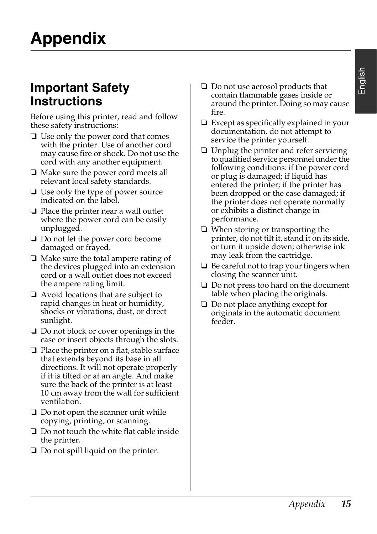## <span id="page-14-1"></span><span id="page-14-0"></span>**Important Safety Instructions**

Before using this printer, read and follow these safety instructions:

- ❏ Use only the power cord that comes with the printer. Use of another cord may cause fire or shock. Do not use the cord with any another equipment.
- ❏ Make sure the power cord meets all relevant local safety standards.
- ❏ Use only the type of power source indicated on the label.
- ❏ Place the printer near a wall outlet where the power cord can be easily unplugged.
- ❏ Do not let the power cord become damaged or frayed.
- ❏ Make sure the total ampere rating of the devices plugged into an extension cord or a wall outlet does not exceed the ampere rating limit.
- ❏ Avoid locations that are subject to rapid changes in heat or humidity, shocks or vibrations, dust, or direct sunlight.
- ❏ Do not block or cover openings in the case or insert objects through the slots.
- ❏ Place the printer on a flat, stable surface that extends beyond its base in all directions. It will not operate properly if it is tilted or at an angle. And make sure the back of the printer is at least 10 cm away from the wall for sufficient ventilation.
- ❏ Do not open the scanner unit while copying, printing, or scanning.
- ❏ Do not touch the white flat cable inside the printer.
- ❏ Do not spill liquid on the printer.
- ❏ Do not use aerosol products that contain flammable gases inside or around the printer. Doing so may cause fire.
- ❏ Except as specifically explained in your documentation, do not attempt to service the printer yourself.
- ❏ Unplug the printer and refer servicing to qualified service personnel under the following conditions: if the power cord or plug is damaged; if liquid has entered the printer; if the printer has been dropped or the case damaged; if the printer does not operate normally or exhibits a distinct change in performance.
- ❏ When storing or transporting the printer, do not tilt it, stand it on its side, or turn it upside down; otherwise ink may leak from the cartridge.
- ❏ Be careful not to trap your fingers when closing the scanner unit.
- ❏ Do not press too hard on the document table when placing the originals.
- ❏ Do not place anything except for originals in the automatic document feeder.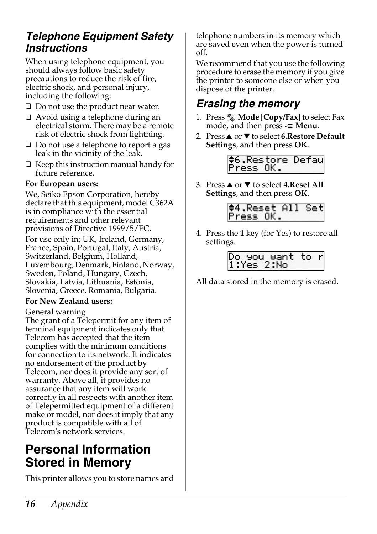## *Telephone Equipment Safety Instructions*

When using telephone equipment, you should always follow basic safety precautions to reduce the risk of fire, electric shock, and personal injury, including the following:

- ❏ Do not use the product near water.
- ❏ Avoid using a telephone during an electrical storm. There may be a remote risk of electric shock from lightning.
- ❏ Do not use a telephone to report a gas leak in the vicinity of the leak.
- ❏ Keep this instruction manual handy for future reference.

#### **For European users:**

We, Seiko Epson Corporation, hereby declare that this equipment, model C362A is in compliance with the essential requirements and other relevant provisions of Directive 1999/5/EC.

For use only in; UK, Ireland, Germany, France, Spain, Portugal, Italy, Austria, Switzerland, Belgium, Holland, Luxembourg, Denmark, Finland, Norway, Sweden, Poland, Hungary, Czech, Slovakia, Latvia, Lithuania, Estonia, Slovenia, Greece, Romania, Bulgaria.

#### **For New Zealand users:**

General warning

The grant of a Telepermit for any item of terminal equipment indicates only that Telecom has accepted that the item complies with the minimum conditions for connection to its network. It indicates no endorsement of the product by Telecom, nor does it provide any sort of warranty. Above all, it provides no assurance that any item will work correctly in all respects with another item of Telepermitted equipment of a different make or model, nor does it imply that any product is compatible with all of Telecom's network services.

## <span id="page-15-0"></span>**Personal Information Stored in Memory**

This printer allows you to store names and

telephone numbers in its memory which are saved even when the power is turned off.

We recommend that you use the following procedure to erase the memory if you give the printer to someone else or when you dispose of the printer.

## *Erasing the memory*

- 1. Press **Mode** [**Copy/Fax**] to select Fax mode, and then press  $\equiv$  **Menu**.
- 2. Press **▲** or ▼ to select **6.Restore Default Settings**, and then press **OK**.

#6.Restore Defau Press OK.

3. Press **▲** or ▼ to select **4.Reset All Settings**, and then press **OK**.



4. Press the **1** key (for Yes) to restore all settings.

> Do you want to |1:Yes 2:No

All data stored in the memory is erased.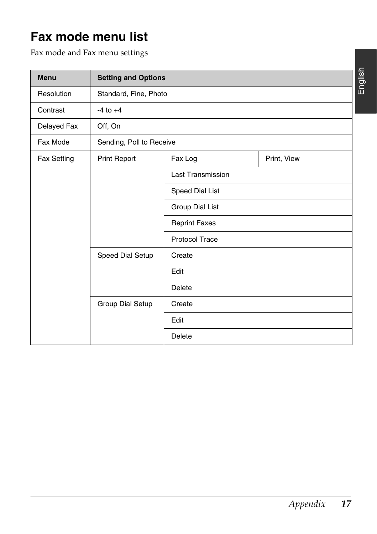## <span id="page-16-0"></span>**Fax mode menu list**

Fax mode and Fax menu settings

| <b>Menu</b>        | <b>Setting and Options</b> |                          |             |  |
|--------------------|----------------------------|--------------------------|-------------|--|
| Resolution         | Standard, Fine, Photo      |                          |             |  |
| Contrast           | $-4$ to $+4$               |                          |             |  |
| Delayed Fax        | Off, On                    |                          |             |  |
| Fax Mode           | Sending, Poll to Receive   |                          |             |  |
| <b>Fax Setting</b> | Print Report               | Fax Log                  | Print, View |  |
|                    |                            | <b>Last Transmission</b> |             |  |
|                    |                            | Speed Dial List          |             |  |
|                    |                            | Group Dial List          |             |  |
|                    |                            | <b>Reprint Faxes</b>     |             |  |
|                    |                            | <b>Protocol Trace</b>    |             |  |
|                    | Speed Dial Setup           | Create                   |             |  |
|                    |                            | Edit                     |             |  |
|                    |                            | <b>Delete</b>            |             |  |
|                    | Group Dial Setup           | Create                   |             |  |
|                    |                            | Edit                     |             |  |
|                    |                            | Delete                   |             |  |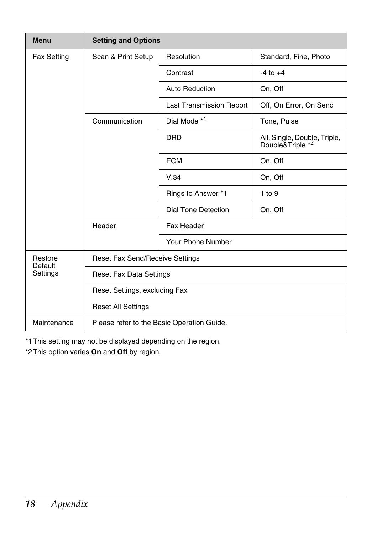| <b>Menu</b>                    | <b>Setting and Options</b>                 |                                 |                                                  |
|--------------------------------|--------------------------------------------|---------------------------------|--------------------------------------------------|
| <b>Fax Setting</b>             | Scan & Print Setup                         | Resolution                      | Standard, Fine, Photo                            |
|                                |                                            | Contrast                        | $-4$ to $+4$                                     |
|                                |                                            | Auto Reduction                  | On, Off                                          |
|                                |                                            | <b>Last Transmission Report</b> | Off, On Error, On Send                           |
|                                | Communication                              | Dial Mode * <sup>1</sup>        | Tone, Pulse                                      |
|                                |                                            | <b>DRD</b>                      | All, Single, Double, Triple,<br>Double&Triple *2 |
|                                |                                            | <b>ECM</b>                      | On, Off                                          |
|                                |                                            | V.34                            | On, Off                                          |
|                                |                                            | Rings to Answer *1              | $1$ to $9$                                       |
|                                |                                            | Dial Tone Detection             | On, Off                                          |
|                                | Header                                     | Fax Header                      |                                                  |
|                                |                                            | Your Phone Number               |                                                  |
| Restore<br>Default<br>Settings | <b>Reset Fax Send/Receive Settings</b>     |                                 |                                                  |
|                                | <b>Reset Fax Data Settings</b>             |                                 |                                                  |
|                                | Reset Settings, excluding Fax              |                                 |                                                  |
|                                | <b>Reset All Settings</b>                  |                                 |                                                  |
| Maintenance                    | Please refer to the Basic Operation Guide. |                                 |                                                  |

\*1This setting may not be displayed depending on the region.

\*2This option varies **On** and **Off** by region.